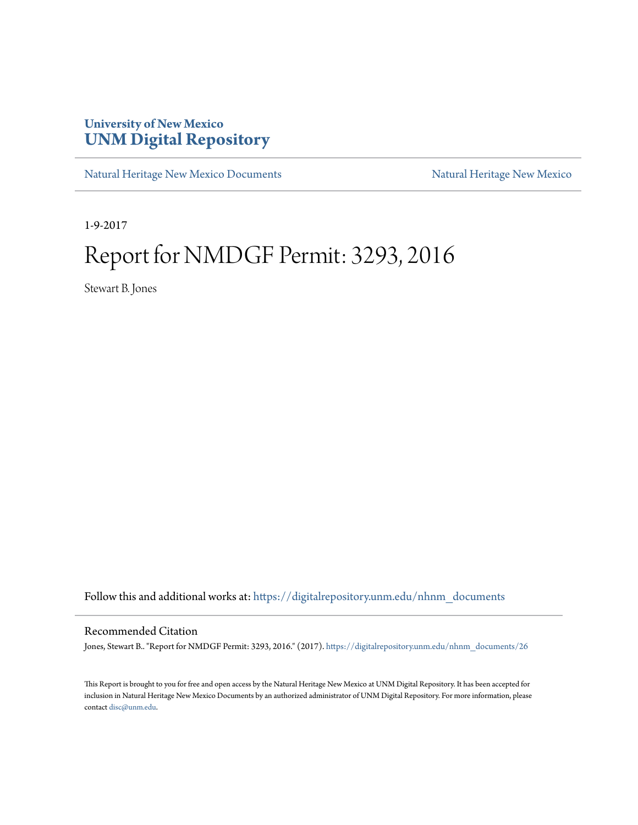## **University of New Mexico [UNM Digital Repository](https://digitalrepository.unm.edu?utm_source=digitalrepository.unm.edu%2Fnhnm_documents%2F26&utm_medium=PDF&utm_campaign=PDFCoverPages)**

[Natural Heritage New Mexico Documents](https://digitalrepository.unm.edu/nhnm_documents?utm_source=digitalrepository.unm.edu%2Fnhnm_documents%2F26&utm_medium=PDF&utm_campaign=PDFCoverPages) [Natural Heritage New Mexico](https://digitalrepository.unm.edu/nhnm?utm_source=digitalrepository.unm.edu%2Fnhnm_documents%2F26&utm_medium=PDF&utm_campaign=PDFCoverPages)

1-9-2017

## Report for NMDGF Permit: 3293, 2016

Stewart B. Jones

Follow this and additional works at: [https://digitalrepository.unm.edu/nhnm\\_documents](https://digitalrepository.unm.edu/nhnm_documents?utm_source=digitalrepository.unm.edu%2Fnhnm_documents%2F26&utm_medium=PDF&utm_campaign=PDFCoverPages)

## Recommended Citation

Jones, Stewart B.. "Report for NMDGF Permit: 3293, 2016." (2017). [https://digitalrepository.unm.edu/nhnm\\_documents/26](https://digitalrepository.unm.edu/nhnm_documents/26?utm_source=digitalrepository.unm.edu%2Fnhnm_documents%2F26&utm_medium=PDF&utm_campaign=PDFCoverPages)

This Report is brought to you for free and open access by the Natural Heritage New Mexico at UNM Digital Repository. It has been accepted for inclusion in Natural Heritage New Mexico Documents by an authorized administrator of UNM Digital Repository. For more information, please contact [disc@unm.edu.](mailto:disc@unm.edu)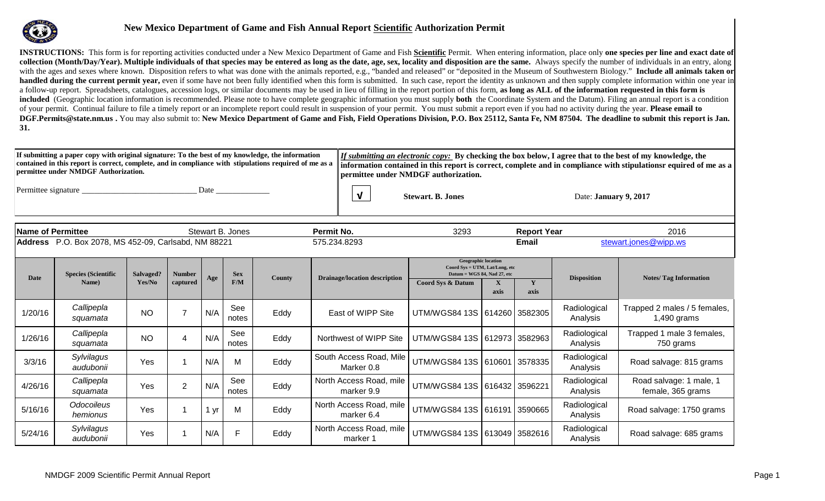

## **New Mexico Department of Game and Fish Annual Report Scientific Authorization Permit**

**INSTRUCTIONS:** This form is for reporting activities conducted under a New Mexico Department of Game and Fish Scientific Permit. When entering information, place only one species per line and exact date of **collection (Month/Day/Year). Multiple individuals of that species may be entered as long as the date, age, sex, locality and disposition are the same. Always specify the number of individuals in an entry, along** with the ages and sexes where known. Disposition refers to what was done with the animals reported, e.g., "banded and released" or "deposited in the Museum of Southwestern Biology." **Include all animals taken or handled during the current permit year,** even if some have not been fully identified when this form is submitted. In such case, report the identity as unknown and then supply complete information within one year in a follow-up report. Spreadsheets, catalogues, accession logs, or similar documents may be used in lieu of filling in the report portion of this form, **as long as ALL of the information requested in this form is included** (Geographic location information is recommended. Please note to have complete geographic information you must supply **both** the Coordinate System and the Datum). Filing an annual report is a condition of your permit. Continual failure to file a timely report or an incomplete report could result in suspension of your permit. You must submit a report even if you had no activity during the year. **Please email to**  DGF.Permits@state.nm.us . You may also submit to: New Mexico Department of Game and Fish, Field Operations Division, P.O. Box 25112, Santa Fe, NM 87504. The deadline to submit this report is Jan. **31.** 

| Dermittee under NMDGF Authorization. | If submitting a paper copy with original signature: To the best of my knowledge, the information | <i>If submitting an electronic copy:</i> By checking the box below, I agree that to the best of my knowledge, the<br>contained in this report is correct, complete, and in compliance with stipulations required of me as a linformation contained in this report is correct, complete and in compliance with stipulationsr equired of me as a<br>   permittee under NMDGF authorization. |
|--------------------------------------|--------------------------------------------------------------------------------------------------|-------------------------------------------------------------------------------------------------------------------------------------------------------------------------------------------------------------------------------------------------------------------------------------------------------------------------------------------------------------------------------------------|
| Permittee signature                  | Date                                                                                             |                                                                                                                                                                                                                                                                                                                                                                                           |

**√ Stewart. B. Jones Date: January 9, 2017** 

| Name of Permittee |                                                      |                     |                           |     | Stewart B. Jones  |              | Permit No.                            | 3293                                                                                                                        |                      | <b>Report Year</b>    |                          | 2016                                          |
|-------------------|------------------------------------------------------|---------------------|---------------------------|-----|-------------------|--------------|---------------------------------------|-----------------------------------------------------------------------------------------------------------------------------|----------------------|-----------------------|--------------------------|-----------------------------------------------|
|                   | Address P.O. Box 2078, MS 452-09, Carlsabd, NM 88221 |                     |                           |     |                   | 575.234.8293 | Email                                 |                                                                                                                             |                      | stewart.jones@wipp.ws |                          |                                               |
| <b>Date</b>       | <b>Species (Scientific</b><br>Name)                  | Salvaged?<br>Yes/No | <b>Number</b><br>captured | Age | <b>Sex</b><br>F/M | County       | <b>Drainage/location description</b>  | <b>Geographic location</b><br>Coord Sys = UTM, Lat/Long, etc<br>Datum = WGS 84, Nad 27, etc<br><b>Coord Sys &amp; Datum</b> | $\mathbf{X}$<br>axis | Y<br>axis             | <b>Disposition</b>       | <b>Notes/Tag Information</b>                  |
| 1/20/16           | Callipepla<br>squamata                               | <b>NO</b>           |                           | N/A | See<br>notes      | Eddy         | East of WIPP Site                     | UTM/WGS84 13S   614260   3582305                                                                                            |                      |                       | Radiological<br>Analysis | Trapped 2 males / 5 females,<br>$1,490$ grams |
| 1/26/16           | Callipepla<br>squamata                               | <b>NO</b>           | 4                         | N/A | See<br>notes      | Eddy         | Northwest of WIPP Site                | UTM/WGS84 13S   612973   3582963                                                                                            |                      |                       | Radiological<br>Analysis | Trapped 1 male 3 females,<br>750 grams        |
| 3/3/16            | Sylvilagus<br>audubonii                              | Yes                 |                           | N/A | M                 | Eddy         | South Access Road, Mile<br>Marker 0.8 | UTM/WGS84 13S   610601   3578335                                                                                            |                      |                       | Radiological<br>Analysis | Road salvage: 815 grams                       |
| 4/26/16           | Callipepla<br>squamata                               | Yes                 | $\overline{2}$            | N/A | See<br>notes      | Eddy         | North Access Road, mile<br>marker 9.9 | UTM/WGS84 13S 616432 3596221                                                                                                |                      |                       | Radiological<br>Analysis | Road salvage: 1 male, 1<br>female, 365 grams  |
| 5/16/16           | Odocoileus<br>hemionus                               | Yes                 |                           | yr  | M                 | Eddy         | North Access Road, mile<br>marker 6.4 | UTM/WGS84 13S   616191   3590665                                                                                            |                      |                       | Radiological<br>Analysis | Road salvage: 1750 grams                      |
| 5/24/16           | Sylvilagus<br>audubonii                              | Yes                 |                           | N/A | F                 | Eddy         | North Access Road, mile<br>marker 1   | UTM/WGS84 13S   613049   3582616                                                                                            |                      |                       | Radiological<br>Analysis | Road salvage: 685 grams                       |